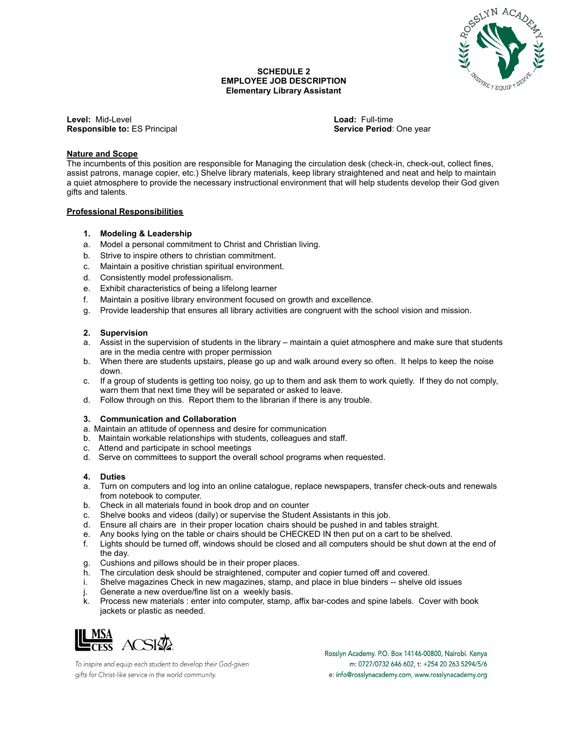

#### **SCHEDULE 2 EMPLOYEE JOB DESCRIPTION Elementary Library Assistant**

**Level:** Mid-Level **Load:** Full-time **Responsible to:** ES Principal **Service Period**: One year **Service Period**: One year

# **Nature and Scope**

The incumbents of this position are responsible for Managing the circulation desk (check-in, check-out, collect fines, assist patrons, manage copier, etc.) Shelve library materials, keep library straightened and neat and help to maintain a quiet atmosphere to provide the necessary instructional environment that will help students develop their God given gifts and talents.

## **Professional Responsibilities**

## **1. Modeling & Leadership**

- a. Model a personal commitment to Christ and Christian living.
- b. Strive to inspire others to christian commitment.
- c. Maintain a positive christian spiritual environment.
- d. Consistently model professionalism.
- e. Exhibit characteristics of being a lifelong learner
- f. Maintain a positive library environment focused on growth and excellence.
- g. Provide leadership that ensures all library activities are congruent with the school vision and mission.

## **2. Supervision**

- a. Assist in the supervision of students in the library maintain a quiet atmosphere and make sure that students are in the media centre with proper permission
- b. When there are students upstairs, please go up and walk around every so often. It helps to keep the noise down.
- c. If a group of students is getting too noisy, go up to them and ask them to work quietly. If they do not comply, warn them that next time they will be separated or asked to leave.
- d. Follow through on this. Report them to the librarian if there is any trouble.

#### **3. Communication and Collaboration**

- a. Maintain an attitude of openness and desire for communication
- b. Maintain workable relationships with students, colleagues and staff.
- c. Attend and participate in school meetings
- d. Serve on committees to support the overall school programs when requested.

#### **4. Duties**

- a. Turn on computers and log into an online catalogue, replace newspapers, transfer check-outs and renewals from notebook to computer.
- b. Check in all materials found in book drop and on counter
- c. Shelve books and videos (daily) or supervise the Student Assistants in this job.
- d. Ensure all chairs are in their proper location chairs should be pushed in and tables straight.
- e. Any books lying on the table or chairs should be CHECKED IN then put on a cart to be shelved.
- f. Lights should be turned off, windows should be closed and all computers should be shut down at the end of the day.
- g. Cushions and pillows should be in their proper places.
- h. The circulation desk should be straightened, computer and copier turned off and covered.
- i. Shelve magazines Check in new magazines, stamp, and place in blue binders -- shelve old issues
- j. Generate a new overdue/fine list on a weekly basis.
- k. Process new materials : enter into computer, stamp, affix bar-codes and spine labels. Cover with book jackets or plastic as needed.



To inspire and equip each student to develop their God-given gifts for Christ-like service in the world community.

Rosslyn Academy. P.O. Box 14146-00800, Nairobi. Kenya m: 0727/0732 646 602, t: +254 20 263 5294/5/6 e: info@rosslynacademy.com, www.rosslynacademy.org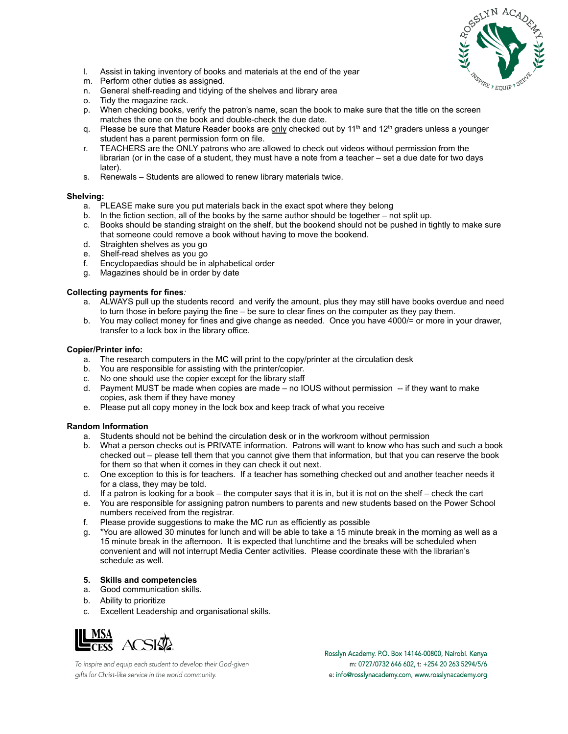

- l. Assist in taking inventory of books and materials at the end of the year
- m. Perform other duties as assigned.
- n. General shelf-reading and tidying of the shelves and library area
- o. Tidy the magazine rack.
- p. When checking books, verify the patron's name, scan the book to make sure that the title on the screen matches the one on the book and double-check the due date.
- q. Please be sure that Mature Reader books are <u>only</u> checked out by 11<sup>th</sup> and 12<sup>th</sup> graders unless a younger student has a parent permission form on file.
- r. TEACHERS are the ONLY patrons who are allowed to check out videos without permission from the librarian (or in the case of a student, they must have a note from a teacher – set a due date for two days later).
- s. Renewals Students are allowed to renew library materials twice.

#### **Shelving:**

- a. PLEASE make sure you put materials back in the exact spot where they belong
- b. In the fiction section, all of the books by the same author should be together not split up.
- c. Books should be standing straight on the shelf, but the bookend should not be pushed in tightly to make sure that someone could remove a book without having to move the bookend.
- d. Straighten shelves as you go
- e. Shelf-read shelves as you go
- f. Encyclopaedias should be in alphabetical order
- g. Magazines should be in order by date

## **Collecting payments for fines***:*

- a. ALWAYS pull up the students record and verify the amount, plus they may still have books overdue and need to turn those in before paying the fine – be sure to clear fines on the computer as they pay them.
- b. You may collect money for fines and give change as needed. Once you have 4000/= or more in your drawer, transfer to a lock box in the library office.

#### **Copier/Printer info:**

- a. The research computers in the MC will print to the copy/printer at the circulation desk
- b. You are responsible for assisting with the printer/copier.
- c. No one should use the copier except for the library staff
- d. Payment MUST be made when copies are made no IOUS without permission -- if they want to make copies, ask them if they have money
- e. Please put all copy money in the lock box and keep track of what you receive

#### **Random Information**

- a. Students should not be behind the circulation desk or in the workroom without permission
- b. What a person checks out is PRIVATE information. Patrons will want to know who has such and such a book checked out – please tell them that you cannot give them that information, but that you can reserve the book for them so that when it comes in they can check it out next.
- c. One exception to this is for teachers. If a teacher has something checked out and another teacher needs it for a class, they may be told.
- d. If a patron is looking for a book the computer says that it is in, but it is not on the shelf check the cart
- e. You are responsible for assigning patron numbers to parents and new students based on the Power School numbers received from the registrar.
- f. Please provide suggestions to make the MC run as efficiently as possible
- g. \*You are allowed 30 minutes for lunch and will be able to take a 15 minute break in the morning as well as a 15 minute break in the afternoon. It is expected that lunchtime and the breaks will be scheduled when convenient and will not interrupt Media Center activities. Please coordinate these with the librarian's schedule as well.

# **5. Skills and competencies**

- a. Good communication skills.
- b. Ability to prioritize
- c. Excellent Leadership and organisational skills.



To inspire and equip each student to develop their God-given gifts for Christ-like service in the world community.

Rosslyn Academy. P.O. Box 14146-00800, Nairobi. Kenya m: 0727/0732 646 602, t: +254 20 263 5294/5/6 e: info@rosslynacademy.com, www.rosslynacademy.org